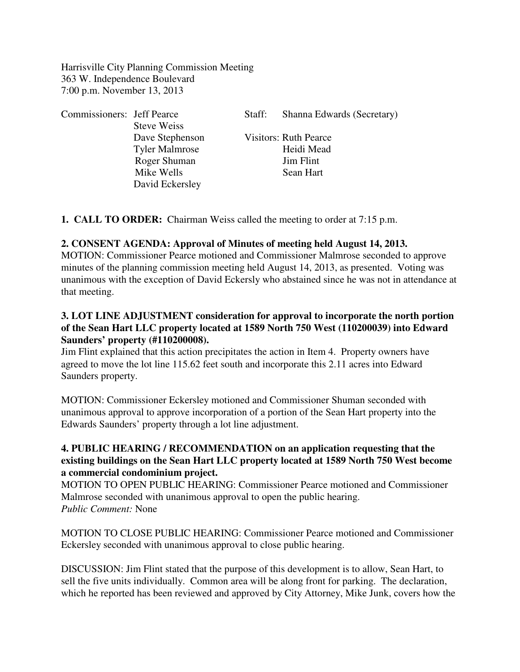Harrisville City Planning Commission Meeting 363 W. Independence Boulevard 7:00 p.m. November 13, 2013

| <b>Commissioners:</b> Jeff Pearce |                       | Staff: | Shanna Edwards (Secretary)   |
|-----------------------------------|-----------------------|--------|------------------------------|
|                                   | <b>Steve Weiss</b>    |        |                              |
|                                   | Dave Stephenson       |        | <b>Visitors: Ruth Pearce</b> |
|                                   | <b>Tyler Malmrose</b> |        | Heidi Mead                   |
|                                   | Roger Shuman          |        | <b>Jim Flint</b>             |
|                                   | Mike Wells            |        | Sean Hart                    |
|                                   | David Eckersley       |        |                              |

**1. CALL TO ORDER:** Chairman Weiss called the meeting to order at 7:15 p.m.

## **2. CONSENT AGENDA: Approval of Minutes of meeting held August 14, 2013.**

MOTION: Commissioner Pearce motioned and Commissioner Malmrose seconded to approve minutes of the planning commission meeting held August 14, 2013, as presented. Voting was unanimous with the exception of David Eckersly who abstained since he was not in attendance at that meeting.

## **3. LOT LINE ADJUSTMENT consideration for approval to incorporate the north portion of the Sean Hart LLC property located at 1589 North 750 West (110200039) into Edward Saunders' property (#110200008).**

Jim Flint explained that this action precipitates the action in Item 4. Property owners have agreed to move the lot line 115.62 feet south and incorporate this 2.11 acres into Edward Saunders property.

MOTION: Commissioner Eckersley motioned and Commissioner Shuman seconded with unanimous approval to approve incorporation of a portion of the Sean Hart property into the Edwards Saunders' property through a lot line adjustment.

## **4. PUBLIC HEARING / RECOMMENDATION on an application requesting that the existing buildings on the Sean Hart LLC property located at 1589 North 750 West become a commercial condominium project.**

MOTION TO OPEN PUBLIC HEARING: Commissioner Pearce motioned and Commissioner Malmrose seconded with unanimous approval to open the public hearing. *Public Comment:* None

MOTION TO CLOSE PUBLIC HEARING: Commissioner Pearce motioned and Commissioner Eckersley seconded with unanimous approval to close public hearing.

DISCUSSION: Jim Flint stated that the purpose of this development is to allow, Sean Hart, to sell the five units individually. Common area will be along front for parking. The declaration, which he reported has been reviewed and approved by City Attorney, Mike Junk, covers how the